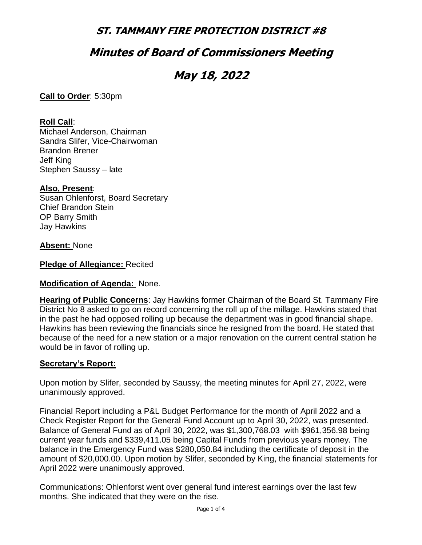## **Minutes of Board of Commissioners Meeting**

# **May 18, 2022**

**Call to Order**: 5:30pm

#### **Roll Call**:

Michael Anderson, Chairman Sandra Slifer, Vice-Chairwoman Brandon Brener Jeff King Stephen Saussy – late

#### **Also, Present**:

Susan Ohlenforst, Board Secretary Chief Brandon Stein OP Barry Smith Jay Hawkins

#### **Absent:** None

**Pledge of Allegiance:** Recited

#### **Modification of Agenda:** None.

**Hearing of Public Concerns**: Jay Hawkins former Chairman of the Board St. Tammany Fire District No 8 asked to go on record concerning the roll up of the millage. Hawkins stated that in the past he had opposed rolling up because the department was in good financial shape. Hawkins has been reviewing the financials since he resigned from the board. He stated that because of the need for a new station or a major renovation on the current central station he would be in favor of rolling up.

#### **Secretary's Report:**

Upon motion by Slifer, seconded by Saussy, the meeting minutes for April 27, 2022, were unanimously approved.

Financial Report including a P&L Budget Performance for the month of April 2022 and a Check Register Report for the General Fund Account up to April 30, 2022, was presented. Balance of General Fund as of April 30, 2022, was \$1,300,768.03 with \$961,356.98 being current year funds and \$339,411.05 being Capital Funds from previous years money. The balance in the Emergency Fund was \$280,050.84 including the certificate of deposit in the amount of \$20,000.00. Upon motion by Slifer, seconded by King, the financial statements for April 2022 were unanimously approved.

Communications: Ohlenforst went over general fund interest earnings over the last few months. She indicated that they were on the rise.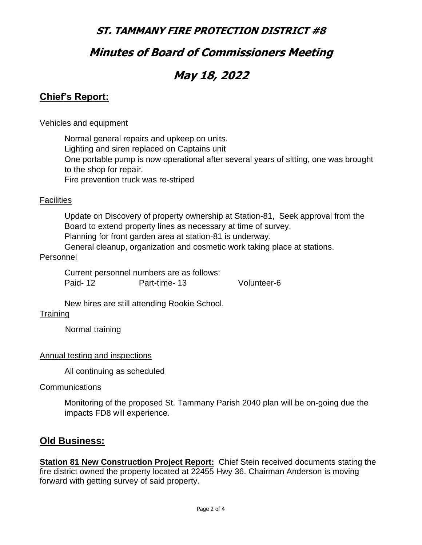## **Minutes of Board of Commissioners Meeting**

# **May 18, 2022**

### **Chief's Report:**

#### Vehicles and equipment

Normal general repairs and upkeep on units. Lighting and siren replaced on Captains unit One portable pump is now operational after several years of sitting, one was brought to the shop for repair. Fire prevention truck was re-striped

#### **Facilities**

Update on Discovery of property ownership at Station-81, Seek approval from the Board to extend property lines as necessary at time of survey. Planning for front garden area at station-81 is underway.

General cleanup, organization and cosmetic work taking place at stations.

#### Personnel

Current personnel numbers are as follows: Paid- 12 **Part-time- 13** Volunteer-6

New hires are still attending Rookie School.

#### **Training**

Normal training

#### Annual testing and inspections

All continuing as scheduled

#### **Communications**

Monitoring of the proposed St. Tammany Parish 2040 plan will be on-going due the impacts FD8 will experience.

### **Old Business:**

**Station 81 New Construction Project Report:** Chief Stein received documents stating the fire district owned the property located at 22455 Hwy 36. Chairman Anderson is moving forward with getting survey of said property.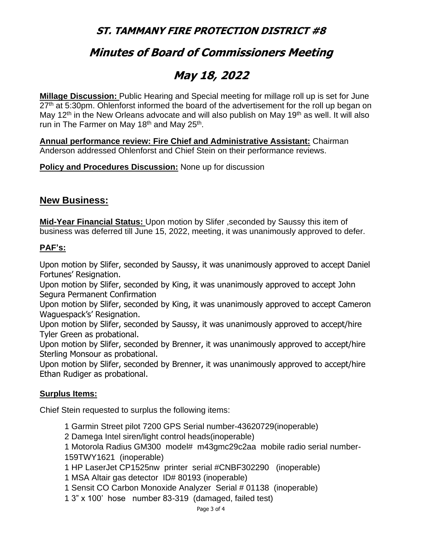# **Minutes of Board of Commissioners Meeting**

# **May 18, 2022**

**Millage Discussion:** Public Hearing and Special meeting for millage roll up is set for June  $27<sup>th</sup>$  at 5:30pm. Ohlenforst informed the board of the advertisement for the roll up began on May 12<sup>th</sup> in the New Orleans advocate and will also publish on May 19<sup>th</sup> as well. It will also run in The Farmer on May 18<sup>th</sup> and May 25<sup>th</sup>.

**Annual performance review: Fire Chief and Administrative Assistant:** Chairman Anderson addressed Ohlenforst and Chief Stein on their performance reviews.

**Policy and Procedures Discussion:** None up for discussion

### **New Business:**

**Mid-Year Financial Status:** Upon motion by Slifer ,seconded by Saussy this item of business was deferred till June 15, 2022, meeting, it was unanimously approved to defer.

#### **PAF's:**

Upon motion by Slifer, seconded by Saussy, it was unanimously approved to accept Daniel Fortunes' Resignation.

Upon motion by Slifer, seconded by King, it was unanimously approved to accept John Segura Permanent Confirmation

Upon motion by Slifer, seconded by King, it was unanimously approved to accept Cameron Waguespack's' Resignation.

Upon motion by Slifer, seconded by Saussy, it was unanimously approved to accept/hire Tyler Green as probational.

Upon motion by Slifer, seconded by Brenner, it was unanimously approved to accept/hire Sterling Monsour as probational.

Upon motion by Slifer, seconded by Brenner, it was unanimously approved to accept/hire Ethan Rudiger as probational.

#### **Surplus Items:**

Chief Stein requested to surplus the following items:

1 Garmin Street pilot 7200 GPS Serial number-43620729(inoperable)

2 Damega Intel siren/light control heads(inoperable)

1 Motorola Radius GM300 model# m43gmc29c2aa mobile radio serial number-159TWY1621 (inoperable)

1 HP LaserJet CP1525nw printer serial #CNBF302290 (inoperable)

1 MSA Altair gas detector ID# 80193 (inoperable)

1 Sensit CO Carbon Monoxide Analyzer Serial # 01138 (inoperable)

1 3" x 100' hose number 83-319 (damaged, failed test)